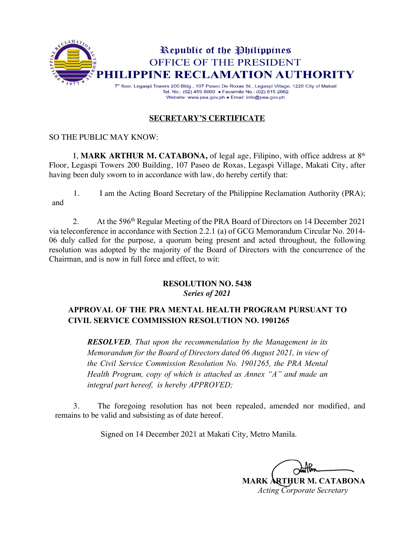

#### **SECRETARY'S CERTIFICATE**

#### SO THE PUBLIC MAY KNOW:

I, **MARK ARTHUR M. CATABONA**, of legal age, Filipino, with office address at 8<sup>th</sup> Floor, Legaspi Towers 200 Building, 107 Paseo de Roxas, Legaspi Village, Makati City, after having been duly sworn to in accordance with law, do hereby certify that:

1. I am the Acting Board Secretary of the Philippine Reclamation Authority (PRA); and

2. At the 596th Regular Meeting of the PRA Board of Directors on 14 December 2021 via teleconference in accordance with Section 2.2.1 (a) of GCG Memorandum Circular No. 2014- 06 duly called for the purpose, a quorum being present and acted throughout, the following resolution was adopted by the majority of the Board of Directors with the concurrence of the Chairman, and is now in full force and effect, to wit:

#### **RESOLUTION NO. 5438** *Series of 2021*

## **APPROVAL OF THE PRA MENTAL HEALTH PROGRAM PURSUANT TO CIVIL SERVICE COMMISSION RESOLUTION NO. 1901265**

*RESOLVED, That upon the recommendation by the Management in its Memorandum for the Board of Directors dated 06 August 2021, in view of the Civil Service Commission Resolution No. 1901265, the PRA Mental Health Program, copy of which is attached as Annex "A" and made an integral part hereof, is hereby APPROVED;*

3. The foregoing resolution has not been repealed, amended nor modified, and remains to be valid and subsisting as of date hereof.

Signed on 14 December 2021 at Makati City, Metro Manila.

**MARK ARTHUR M. CATABONA** *Acting Corporate Secretary*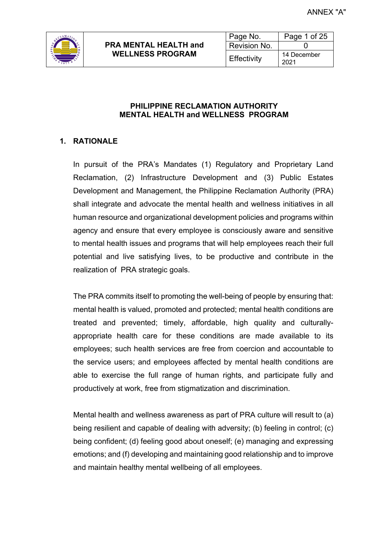

#### **PHILIPPINE RECLAMATION AUTHORITY MENTAL HEALTH and WELLNESS PROGRAM**

## **1. RATIONALE**

In pursuit of the PRA's Mandates (1) Regulatory and Proprietary Land Reclamation, (2) Infrastructure Development and (3) Public Estates Development and Management, the Philippine Reclamation Authority (PRA) shall integrate and advocate the mental health and wellness initiatives in all human resource and organizational development policies and programs within agency and ensure that every employee is consciously aware and sensitive to mental health issues and programs that will help employees reach their full potential and live satisfying lives, to be productive and contribute in the realization of PRA strategic goals.

The PRA commits itself to promoting the well-being of people by ensuring that: mental health is valued, promoted and protected; mental health conditions are treated and prevented; timely, affordable, high quality and culturallyappropriate health care for these conditions are made available to its employees; such health services are free from coercion and accountable to the service users; and employees affected by mental health conditions are able to exercise the full range of human rights, and participate fully and productively at work, free from stigmatization and discrimination.

Mental health and wellness awareness as part of PRA culture will result to (a) being resilient and capable of dealing with adversity; (b) feeling in control; (c) being confident; (d) feeling good about oneself; (e) managing and expressing emotions; and (f) developing and maintaining good relationship and to improve and maintain healthy mental wellbeing of all employees.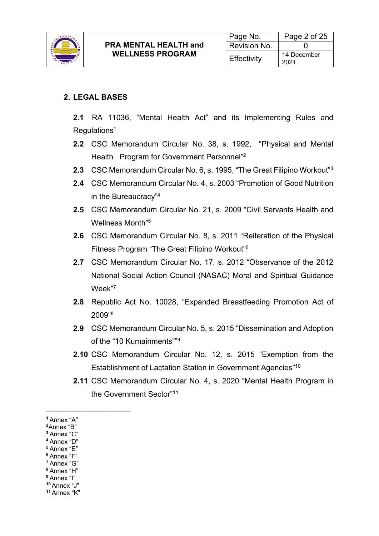

#### **2. LEGAL BASES**

**2.1** RA 11036, "Mental Health Act" and its Implementing Rules and  $Requlations<sup>1</sup>$ 

- **2.2** CSC Memorandum Circular No. 38, s. 1992, "Physical and Mental Health Program for Government Personnel"<sup>2</sup>
- **2.3** CSC Memorandum Circular No. 6, s. 1995, "The Great Filipino Workout" 3
- **2.4** CSC Memorandum Circular No. 4, s. 2003 "Promotion of Good Nutrition in the Bureaucracy"4
- **2.5** CSC Memorandum Circular No. 21, s. 2009 "Civil Servants Health and Wellness Month" 5
- **2.6** CSC Memorandum Circular No. 8, s. 2011 "Reiteration of the Physical Fitness Program "The Great Filipino Workout"6
- **2.7** CSC Memorandum Circular No. 17, s. 2012 "Observance of the 2012 National Social Action Council (NASAC) Moral and Spiritual Guidance Week"7
- **2.8** Republic Act No. 10028, "Expanded Breastfeeding Promotion Act of 2009" 8
- **2.9** CSC Memorandum Circular No. 5, s. 2015 "Dissemination and Adoption of the "10 Kumainments""9
- **2.10** CSC Memorandum Circular No. 12, s. 2015 "Exemption from the Establishment of Lactation Station in Government Agencies"10
- **2.11** CSC Memorandum Circular No. 4, s. 2020 "Mental Health Program in the Government Sector"<sup>11</sup>

 $\mathcal{L}_\text{max}$  , where  $\mathcal{L}_\text{max}$  , we have the set of  $\mathcal{L}_\text{max}$ 

**<sup>1</sup>**Annex "A"

**<sup>2</sup>**Annex "B"

**<sup>3</sup>**Annex "C"

**<sup>4</sup>**Annex "D" **<sup>5</sup>**Annex "E"

**<sup>6</sup>**Annex "F"

**<sup>7</sup>**Annex "G"

**<sup>8</sup>**Annex "H"

**<sup>9</sup>**Annex "I"

**<sup>10</sup>**Annex "J"

**<sup>11</sup>** Annex "K"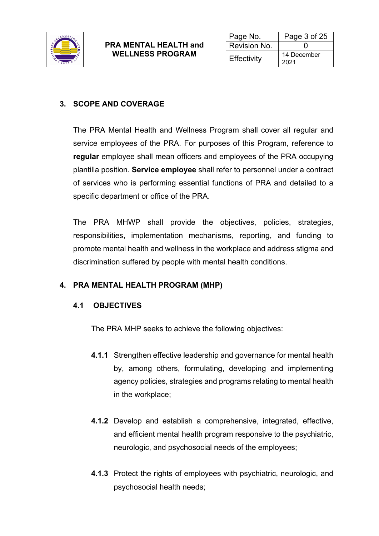

## **3. SCOPE AND COVERAGE**

The PRA Mental Health and Wellness Program shall cover all regular and service employees of the PRA. For purposes of this Program, reference to **regular** employee shall mean officers and employees of the PRA occupying plantilla position. **Service employee** shall refer to personnel under a contract of services who is performing essential functions of PRA and detailed to a specific department or office of the PRA.

The PRA MHWP shall provide the objectives, policies, strategies, responsibilities, implementation mechanisms, reporting, and funding to promote mental health and wellness in the workplace and address stigma and discrimination suffered by people with mental health conditions.

## **4. PRA MENTAL HEALTH PROGRAM (MHP)**

## **4.1 OBJECTIVES**

The PRA MHP seeks to achieve the following objectives:

- **4.1.1** Strengthen effective leadership and governance for mental health by, among others, formulating, developing and implementing agency policies, strategies and programs relating to mental health in the workplace;
- **4.1.2** Develop and establish a comprehensive, integrated, effective, and efficient mental health program responsive to the psychiatric, neurologic, and psychosocial needs of the employees;
- **4.1.3** Protect the rights of employees with psychiatric, neurologic, and psychosocial health needs;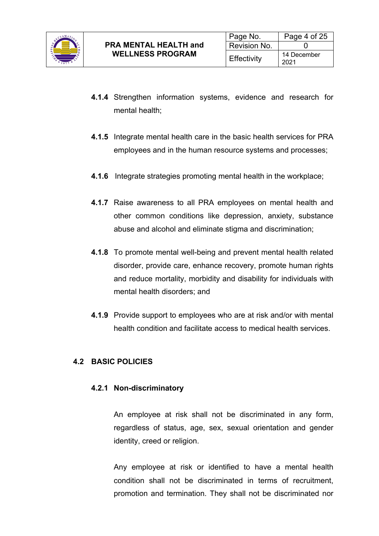

- **4.1.4** Strengthen information systems, evidence and research for mental health;
- **4.1.5** Integrate mental health care in the basic health services for PRA employees and in the human resource systems and processes;
- **4.1.6** Integrate strategies promoting mental health in the workplace;
- **4.1.7** Raise awareness to all PRA employees on mental health and other common conditions like depression, anxiety, substance abuse and alcohol and eliminate stigma and discrimination;
- **4.1.8** To promote mental well-being and prevent mental health related disorder, provide care, enhance recovery, promote human rights and reduce mortality, morbidity and disability for individuals with mental health disorders; and
- **4.1.9** Provide support to employees who are at risk and/or with mental health condition and facilitate access to medical health services.

## **4.2 BASIC POLICIES**

#### **4.2.1 Non-discriminatory**

An employee at risk shall not be discriminated in any form, regardless of status, age, sex, sexual orientation and gender identity, creed or religion.

Any employee at risk or identified to have a mental health condition shall not be discriminated in terms of recruitment, promotion and termination. They shall not be discriminated nor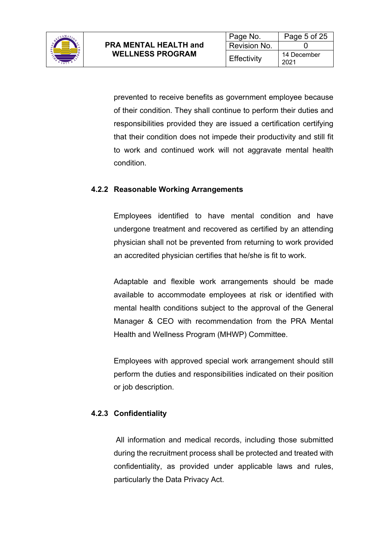

prevented to receive benefits as government employee because of their condition. They shall continue to perform their duties and responsibilities provided they are issued a certification certifying that their condition does not impede their productivity and still fit to work and continued work will not aggravate mental health condition.

## **4.2.2 Reasonable Working Arrangements**

Employees identified to have mental condition and have undergone treatment and recovered as certified by an attending physician shall not be prevented from returning to work provided an accredited physician certifies that he/she is fit to work.

Adaptable and flexible work arrangements should be made available to accommodate employees at risk or identified with mental health conditions subject to the approval of the General Manager & CEO with recommendation from the PRA Mental Health and Wellness Program (MHWP) Committee.

Employees with approved special work arrangement should still perform the duties and responsibilities indicated on their position or job description.

#### **4.2.3 Confidentiality**

All information and medical records, including those submitted during the recruitment process shall be protected and treated with confidentiality, as provided under applicable laws and rules, particularly the Data Privacy Act.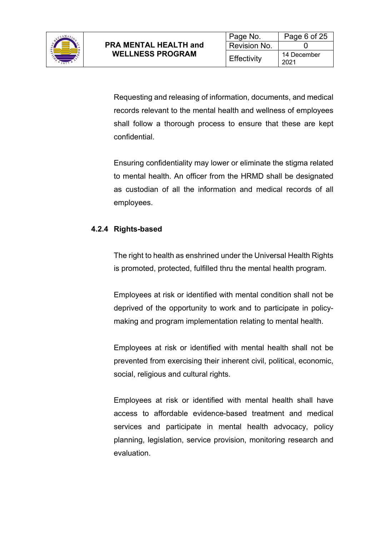

Requesting and releasing of information, documents, and medical records relevant to the mental health and wellness of employees shall follow a thorough process to ensure that these are kept confidential.

Ensuring confidentiality may lower or eliminate the stigma related to mental health. An officer from the HRMD shall be designated as custodian of all the information and medical records of all employees.

## **4.2.4 Rights-based**

The right to health as enshrined under the Universal Health Rights is promoted, protected, fulfilled thru the mental health program.

Employees at risk or identified with mental condition shall not be deprived of the opportunity to work and to participate in policymaking and program implementation relating to mental health.

Employees at risk or identified with mental health shall not be prevented from exercising their inherent civil, political, economic, social, religious and cultural rights.

Employees at risk or identified with mental health shall have access to affordable evidence-based treatment and medical services and participate in mental health advocacy, policy planning, legislation, service provision, monitoring research and evaluation.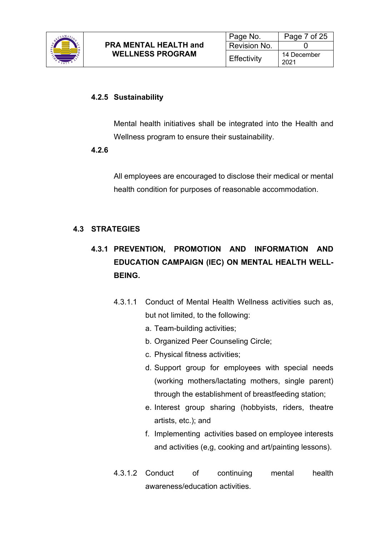

#### **4.2.5 Sustainability**

Mental health initiatives shall be integrated into the Health and Wellness program to ensure their sustainability.

#### **4.2.6**

All employees are encouraged to disclose their medical or mental health condition for purposes of reasonable accommodation.

## **4.3 STRATEGIES**

# **4.3.1 PREVENTION, PROMOTION AND INFORMATION AND EDUCATION CAMPAIGN (IEC) ON MENTAL HEALTH WELL-BEING.**

- 4.3.1.1 Conduct of Mental Health Wellness activities such as, but not limited, to the following:
	- a. Team-building activities;
	- b. Organized Peer Counseling Circle;
	- c. Physical fitness activities;
	- d. Support group for employees with special needs (working mothers/lactating mothers, single parent) through the establishment of breastfeeding station;
	- e. Interest group sharing (hobbyists, riders, theatre artists, etc.); and
	- f. Implementing activities based on employee interests and activities (e,g, cooking and art/painting lessons).
- 4.3.1.2 Conduct of continuing mental health awareness/education activities.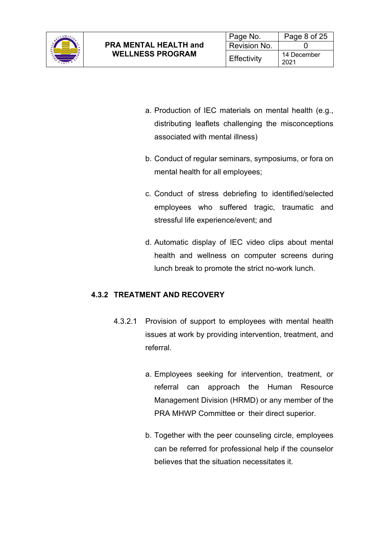

- a. Production of IEC materials on mental health (e.g., distributing leaflets challenging the misconceptions associated with mental illness)
- b. Conduct of regular seminars, symposiums, or fora on mental health for all employees;
- c. Conduct of stress debriefing to identified/selected employees who suffered tragic, traumatic and stressful life experience/event; and
- d. Automatic display of IEC video clips about mental health and wellness on computer screens during lunch break to promote the strict no-work lunch.

## **4.3.2 TREATMENT AND RECOVERY**

- 4.3.2.1 Provision of support to employees with mental health issues at work by providing intervention, treatment, and referral.
	- a. Employees seeking for intervention, treatment, or referral can approach the Human Resource Management Division (HRMD) or any member of the PRA MHWP Committee or their direct superior.
	- b. Together with the peer counseling circle, employees can be referred for professional help if the counselor believes that the situation necessitates it.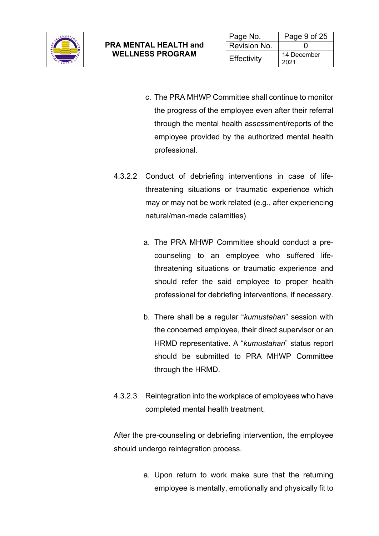

- c. The PRA MHWP Committee shall continue to monitor the progress of the employee even after their referral through the mental health assessment/reports of the employee provided by the authorized mental health professional.
- 4.3.2.2 Conduct of debriefing interventions in case of lifethreatening situations or traumatic experience which may or may not be work related (e.g., after experiencing natural/man-made calamities)
	- a. The PRA MHWP Committee should conduct a precounseling to an employee who suffered lifethreatening situations or traumatic experience and should refer the said employee to proper health professional for debriefing interventions, if necessary.
	- b. There shall be a regular "*kumustahan*" session with the concerned employee, their direct supervisor or an HRMD representative. A "*kumustahan*" status report should be submitted to PRA MHWP Committee through the HRMD.
- 4.3.2.3 Reintegration into the workplace of employees who have completed mental health treatment.

After the pre-counseling or debriefing intervention, the employee should undergo reintegration process.

> a. Upon return to work make sure that the returning employee is mentally, emotionally and physically fit to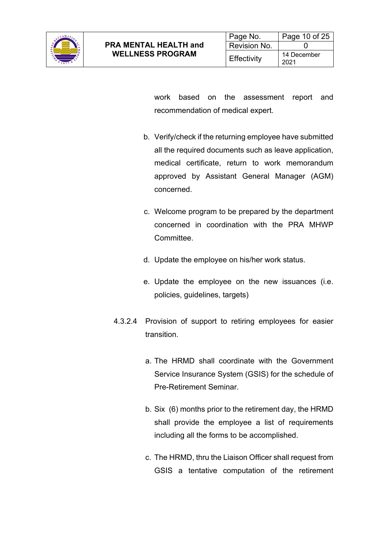

work based on the assessment report and recommendation of medical expert.

- b. Verify/check if the returning employee have submitted all the required documents such as leave application, medical certificate, return to work memorandum approved by Assistant General Manager (AGM) concerned.
- c. Welcome program to be prepared by the department concerned in coordination with the PRA MHWP Committee.
- d. Update the employee on his/her work status.
- e. Update the employee on the new issuances (i.e. policies, guidelines, targets)
- 4.3.2.4 Provision of support to retiring employees for easier transition.
	- a. The HRMD shall coordinate with the Government Service Insurance System (GSIS) for the schedule of Pre-Retirement Seminar.
	- b. Six (6) months prior to the retirement day, the HRMD shall provide the employee a list of requirements including all the forms to be accomplished.
	- c. The HRMD, thru the Liaison Officer shall request from GSIS a tentative computation of the retirement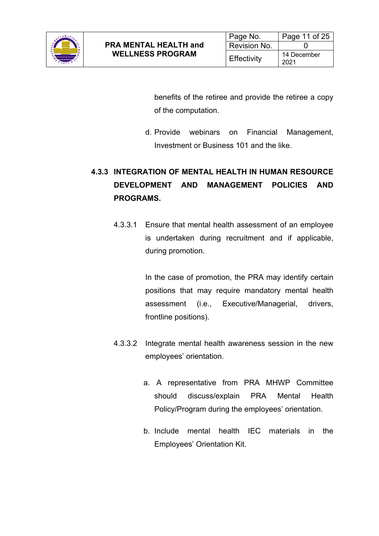

benefits of the retiree and provide the retiree a copy of the computation.

d. Provide webinars on Financial Management, Investment or Business 101 and the like.

# **4.3.3 INTEGRATION OF MENTAL HEALTH IN HUMAN RESOURCE DEVELOPMENT AND MANAGEMENT POLICIES AND PROGRAMS.**

4.3.3.1 Ensure that mental health assessment of an employee is undertaken during recruitment and if applicable, during promotion.

> In the case of promotion, the PRA may identify certain positions that may require mandatory mental health assessment (i.e., Executive/Managerial, drivers, frontline positions).

- 4.3.3.2 Integrate mental health awareness session in the new employees' orientation.
	- a. A representative from PRA MHWP Committee should discuss/explain PRA Mental Health Policy/Program during the employees' orientation.
	- b. Include mental health IEC materials in the Employees' Orientation Kit.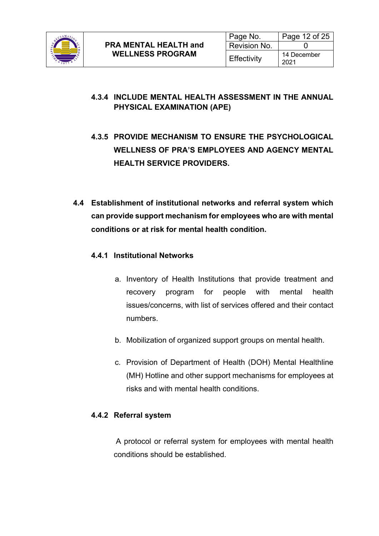

## **4.3.4 INCLUDE MENTAL HEALTH ASSESSMENT IN THE ANNUAL PHYSICAL EXAMINATION (APE)**

- **4.3.5 PROVIDE MECHANISM TO ENSURE THE PSYCHOLOGICAL WELLNESS OF PRA'S EMPLOYEES AND AGENCY MENTAL HEALTH SERVICE PROVIDERS.**
- **4.4 Establishment of institutional networks and referral system which can provide support mechanism for employees who are with mental conditions or at risk for mental health condition.**

## **4.4.1 Institutional Networks**

- a. Inventory of Health Institutions that provide treatment and recovery program for people with mental health issues/concerns, with list of services offered and their contact numbers.
- b. Mobilization of organized support groups on mental health.
- c. Provision of Department of Health (DOH) Mental Healthline (MH) Hotline and other support mechanisms for employees at risks and with mental health conditions.

#### **4.4.2 Referral system**

A protocol or referral system for employees with mental health conditions should be established.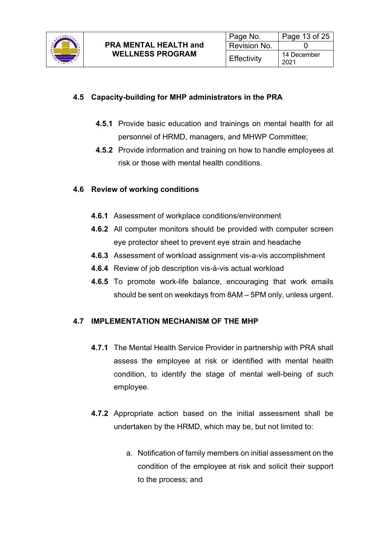

## **4.5 Capacity-building for MHP administrators in the PRA**

- **4.5.1** Provide basic education and trainings on mental health for all personnel of HRMD, managers, and MHWP Committee;
- **4.5.2** Provide information and training on how to handle employees at risk or those with mental health conditions.

## **4.6 Review of working conditions**

- **4.6.1** Assessment of workplace conditions/environment
- **4.6.2** All computer monitors should be provided with computer screen eye protector sheet to prevent eye strain and headache
- **4.6.3** Assessment of workload assignment vis-a-vis accomplishment
- **4.6.4** Review of job description vis-à-vis actual workload
- **4.6.5** To promote work-life balance, encouraging that work emails should be sent on weekdays from 8AM – 5PM only, unless urgent.

#### **4.7 IMPLEMENTATION MECHANISM OF THE MHP**

- **4.7.1** The Mental Health Service Provider in partnership with PRA shall assess the employee at risk or identified with mental health condition, to identify the stage of mental well-being of such employee.
- **4.7.2** Appropriate action based on the initial assessment shall be undertaken by the HRMD, which may be, but not limited to:
	- a. Notification of family members on initial assessment on the condition of the employee at risk and solicit their support to the process; and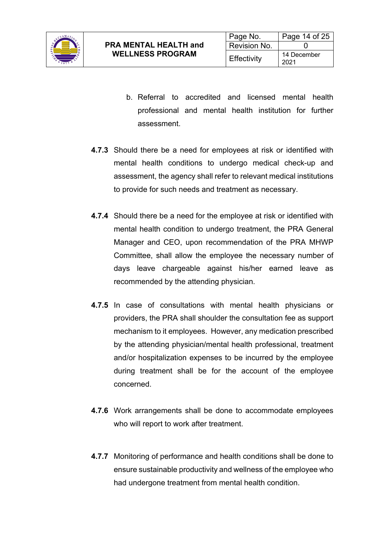

- b. Referral to accredited and licensed mental health professional and mental health institution for further assessment.
- **4.7.3** Should there be a need for employees at risk or identified with mental health conditions to undergo medical check-up and assessment, the agency shall refer to relevant medical institutions to provide for such needs and treatment as necessary.
- **4.7.4** Should there be a need for the employee at risk or identified with mental health condition to undergo treatment, the PRA General Manager and CEO, upon recommendation of the PRA MHWP Committee, shall allow the employee the necessary number of days leave chargeable against his/her earned leave as recommended by the attending physician.
- **4.7.5** In case of consultations with mental health physicians or providers, the PRA shall shoulder the consultation fee as support mechanism to it employees. However, any medication prescribed by the attending physician/mental health professional, treatment and/or hospitalization expenses to be incurred by the employee during treatment shall be for the account of the employee concerned.
- **4.7.6** Work arrangements shall be done to accommodate employees who will report to work after treatment.
- **4.7.7** Monitoring of performance and health conditions shall be done to ensure sustainable productivity and wellness of the employee who had undergone treatment from mental health condition.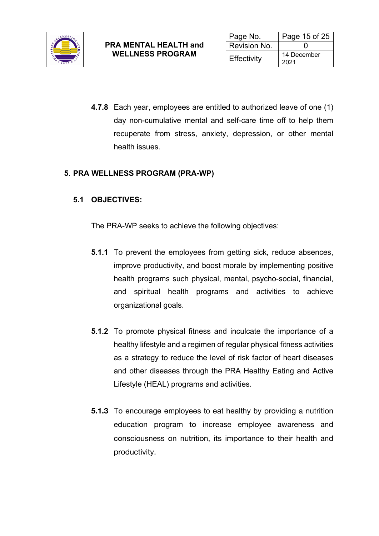

**4.7.8** Each year, employees are entitled to authorized leave of one (1) day non-cumulative mental and self-care time off to help them recuperate from stress, anxiety, depression, or other mental health issues.

## **5. PRA WELLNESS PROGRAM (PRA-WP)**

## **5.1 OBJECTIVES:**

The PRA-WP seeks to achieve the following objectives:

- **5.1.1** To prevent the employees from getting sick, reduce absences, improve productivity, and boost morale by implementing positive health programs such physical, mental, psycho-social, financial, and spiritual health programs and activities to achieve organizational goals.
- **5.1.2** To promote physical fitness and inculcate the importance of a healthy lifestyle and a regimen of regular physical fitness activities as a strategy to reduce the level of risk factor of heart diseases and other diseases through the PRA Healthy Eating and Active Lifestyle (HEAL) programs and activities.
- **5.1.3** To encourage employees to eat healthy by providing a nutrition education program to increase employee awareness and consciousness on nutrition, its importance to their health and productivity.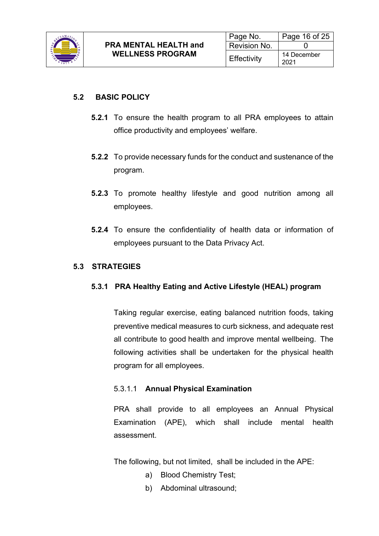

#### **5.2 BASIC POLICY**

- **5.2.1** To ensure the health program to all PRA employees to attain office productivity and employees' welfare.
- **5.2.2** To provide necessary funds for the conduct and sustenance of the program.
- **5.2.3** To promote healthy lifestyle and good nutrition among all employees.
- **5.2.4** To ensure the confidentiality of health data or information of employees pursuant to the Data Privacy Act.

## **5.3 STRATEGIES**

#### **5.3.1 PRA Healthy Eating and Active Lifestyle (HEAL) program**

Taking regular exercise, eating balanced nutrition foods, taking preventive medical measures to curb sickness, and adequate rest all contribute to good health and improve mental wellbeing. The following activities shall be undertaken for the physical health program for all employees.

#### 5.3.1.1 **Annual Physical Examination**

PRA shall provide to all employees an Annual Physical Examination (APE), which shall include mental health assessment.

The following, but not limited, shall be included in the APE:

- a) Blood Chemistry Test;
- b) Abdominal ultrasound;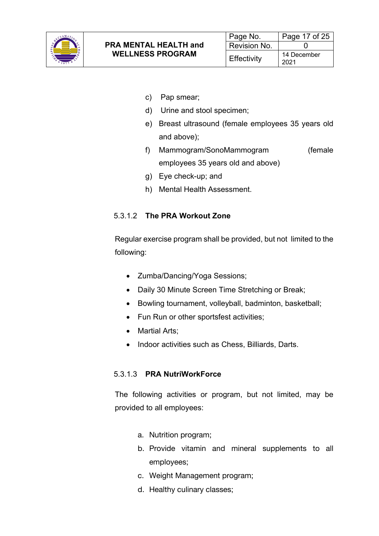

- c) Pap smear;
- d) Urine and stool specimen;
- e) Breast ultrasound (female employees 35 years old and above);
- f) Mammogram/SonoMammogram (female employees 35 years old and above)
- g) Eye check-up; and
- h) Mental Health Assessment.

#### 5.3.1.2 **The PRA Workout Zone**

Regular exercise program shall be provided, but not limited to the following:

- Zumba/Dancing/Yoga Sessions;
- Daily 30 Minute Screen Time Stretching or Break;
- Bowling tournament, volleyball, badminton, basketball;
- Fun Run or other sportsfest activities;
- Martial Arts;
- Indoor activities such as Chess, Billiards, Darts.

#### 5.3.1.3 **PRA NutriWorkForce**

The following activities or program, but not limited, may be provided to all employees:

- a. Nutrition program;
- b. Provide vitamin and mineral supplements to all employees;
- c. Weight Management program;
- d. Healthy culinary classes;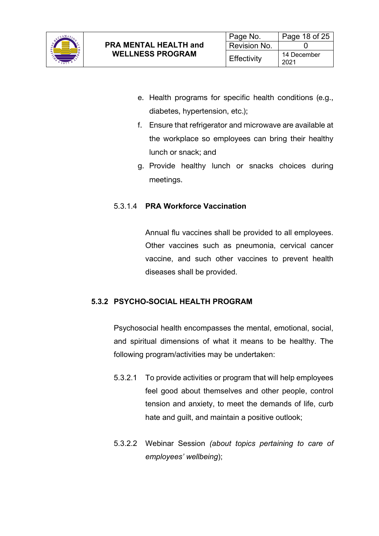

- e. Health programs for specific health conditions (e.g., diabetes, hypertension, etc.);
- f. Ensure that refrigerator and microwave are available at the workplace so employees can bring their healthy lunch or snack; and
- g. Provide healthy lunch or snacks choices during meetings.

## 5.3.1.4 **PRA Workforce Vaccination**

Annual flu vaccines shall be provided to all employees. Other vaccines such as pneumonia, cervical cancer vaccine, and such other vaccines to prevent health diseases shall be provided.

## **5.3.2 PSYCHO-SOCIAL HEALTH PROGRAM**

Psychosocial health encompasses the mental, emotional, social, and spiritual dimensions of what it means to be healthy. The following program/activities may be undertaken:

- 5.3.2.1 To provide activities or program that will help employees feel good about themselves and other people, control tension and anxiety, to meet the demands of life, curb hate and guilt, and maintain a positive outlook;
- 5.3.2.2 Webinar Session *(about topics pertaining to care of employees' wellbeing*);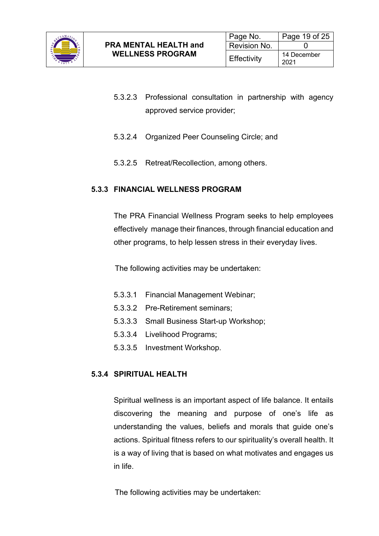

- 5.3.2.3 Professional consultation in partnership with agency approved service provider;
- 5.3.2.4 Organized Peer Counseling Circle; and
- 5.3.2.5 Retreat/Recollection, among others.

## **5.3.3 FINANCIAL WELLNESS PROGRAM**

The PRA Financial Wellness Program seeks to help employees effectively manage their finances, through financial education and other programs, to help lessen stress in their everyday lives.

The following activities may be undertaken:

- 5.3.3.1 Financial Management Webinar;
- 5.3.3.2 Pre-Retirement seminars;
- 5.3.3.3 Small Business Start-up Workshop;
- 5.3.3.4 Livelihood Programs;
- 5.3.3.5 Investment Workshop.

#### **5.3.4 SPIRITUAL HEALTH**

Spiritual wellness is an important aspect of life balance. It entails discovering the meaning and purpose of one's life as understanding the values, beliefs and morals that guide one's actions. Spiritual fitness refers to our spirituality's overall health. It is a way of living that is based on what motivates and engages us in life.

The following activities may be undertaken: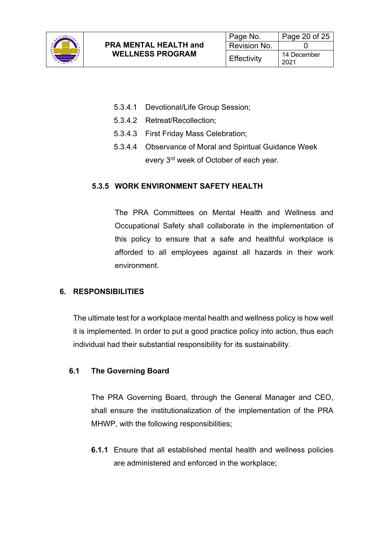

- 5.3.4.1 Devotional/Life Group Session;
- 5.3.4.2 Retreat/Recollection;
- 5.3.4.3 First Friday Mass Celebration;
- 5.3.4.4 Observance of Moral and Spiritual Guidance Week every 3rd week of October of each year.

## **5.3.5 WORK ENVIRONMENT SAFETY HEALTH**

The PRA Committees on Mental Health and Wellness and Occupational Safety shall collaborate in the implementation of this policy to ensure that a safe and healthful workplace is afforded to all employees against all hazards in their work environment.

#### **6. RESPONSIBILITIES**

The ultimate test for a workplace mental health and wellness policy is how well it is implemented. In order to put a good practice policy into action, thus each individual had their substantial responsibility for its sustainability.

#### **6.1 The Governing Board**

The PRA Governing Board, through the General Manager and CEO, shall ensure the institutionalization of the implementation of the PRA MHWP, with the following responsibilities;

**6.1.1** Ensure that all established mental health and wellness policies are administered and enforced in the workplace;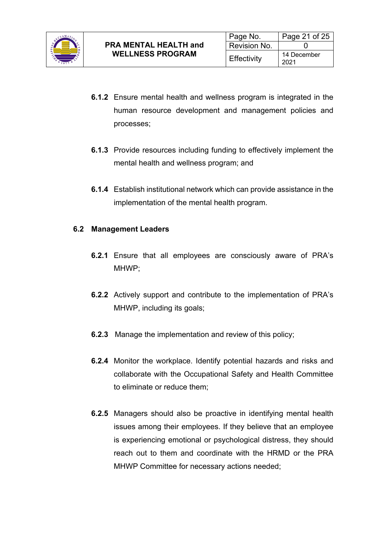

- **6.1.2** Ensure mental health and wellness program is integrated in the human resource development and management policies and processes;
- **6.1.3** Provide resources including funding to effectively implement the mental health and wellness program; and
- **6.1.4** Establish institutional network which can provide assistance in the implementation of the mental health program.

## **6.2 Management Leaders**

- **6.2.1** Ensure that all employees are consciously aware of PRA's MHWP;
- **6.2.2** Actively support and contribute to the implementation of PRA's MHWP, including its goals;
- **6.2.3** Manage the implementation and review of this policy;
- **6.2.4** Monitor the workplace. Identify potential hazards and risks and collaborate with the Occupational Safety and Health Committee to eliminate or reduce them;
- **6.2.5** Managers should also be proactive in identifying mental health issues among their employees. If they believe that an employee is experiencing emotional or psychological distress, they should reach out to them and coordinate with the HRMD or the PRA MHWP Committee for necessary actions needed;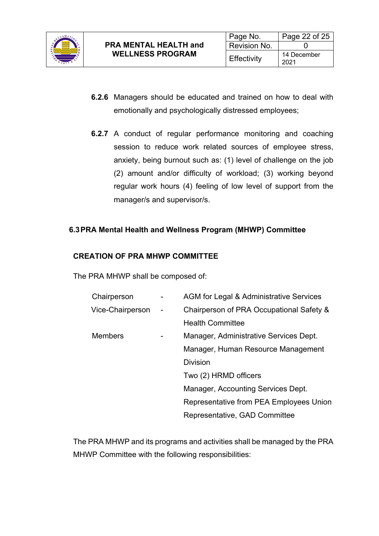

- **6.2.6** Managers should be educated and trained on how to deal with emotionally and psychologically distressed employees;
- **6.2.7** A conduct of regular performance monitoring and coaching session to reduce work related sources of employee stress, anxiety, being burnout such as: (1) level of challenge on the job (2) amount and/or difficulty of workload; (3) working beyond regular work hours (4) feeling of low level of support from the manager/s and supervisor/s.

## **6.3PRA Mental Health and Wellness Program (MHWP) Committee**

## **CREATION OF PRA MHWP COMMITTEE**

The PRA MHWP shall be composed of:

| Chairperson      |        | AGM for Legal & Administrative Services  |
|------------------|--------|------------------------------------------|
| Vice-Chairperson | $\sim$ | Chairperson of PRA Occupational Safety & |
|                  |        | <b>Health Committee</b>                  |
| <b>Members</b>   |        | Manager, Administrative Services Dept.   |
|                  |        | Manager, Human Resource Management       |
|                  |        | <b>Division</b>                          |
|                  |        | Two (2) HRMD officers                    |
|                  |        | Manager, Accounting Services Dept.       |
|                  |        | Representative from PEA Employees Union  |
|                  |        | Representative, GAD Committee            |

The PRA MHWP and its programs and activities shall be managed by the PRA MHWP Committee with the following responsibilities: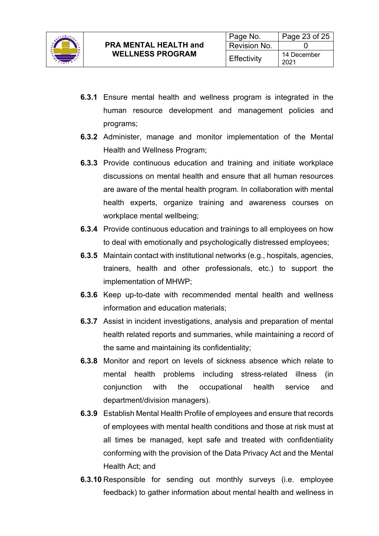

- **6.3.1** Ensure mental health and wellness program is integrated in the human resource development and management policies and programs;
- **6.3.2** Administer, manage and monitor implementation of the Mental Health and Wellness Program;
- **6.3.3** Provide continuous education and training and initiate workplace discussions on mental health and ensure that all human resources are aware of the mental health program. In collaboration with mental health experts, organize training and awareness courses on workplace mental wellbeing;
- **6.3.4** Provide continuous education and trainings to all employees on how to deal with emotionally and psychologically distressed employees;
- **6.3.5** Maintain contact with institutional networks (e.g., hospitals, agencies, trainers, health and other professionals, etc.) to support the implementation of MHWP;
- **6.3.6** Keep up-to-date with recommended mental health and wellness information and education materials;
- **6.3.7** Assist in incident investigations, analysis and preparation of mental health related reports and summaries, while maintaining a record of the same and maintaining its confidentiality;
- **6.3.8** Monitor and report on levels of sickness absence which relate to mental health problems including stress-related illness (in conjunction with the occupational health service and department/division managers).
- **6.3.9** Establish Mental Health Profile of employees and ensure that records of employees with mental health conditions and those at risk must at all times be managed, kept safe and treated with confidentiality conforming with the provision of the Data Privacy Act and the Mental Health Act; and
- **6.3.10** Responsible for sending out monthly surveys (i.e. employee feedback) to gather information about mental health and wellness in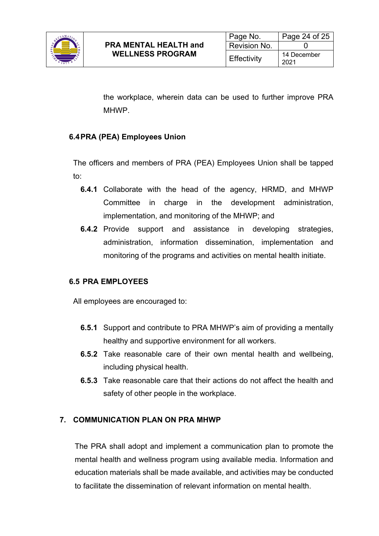

the workplace, wherein data can be used to further improve PRA MHWP.

## **6.4PRA (PEA) Employees Union**

The officers and members of PRA (PEA) Employees Union shall be tapped to:

- **6.4.1** Collaborate with the head of the agency, HRMD, and MHWP Committee in charge in the development administration, implementation, and monitoring of the MHWP; and
- **6.4.2** Provide support and assistance in developing strategies, administration, information dissemination, implementation and monitoring of the programs and activities on mental health initiate.

#### **6.5 PRA EMPLOYEES**

All employees are encouraged to:

- **6.5.1** Support and contribute to PRA MHWP's aim of providing a mentally healthy and supportive environment for all workers.
- **6.5.2** Take reasonable care of their own mental health and wellbeing, including physical health.
- **6.5.3** Take reasonable care that their actions do not affect the health and safety of other people in the workplace.

#### **7. COMMUNICATION PLAN ON PRA MHWP**

The PRA shall adopt and implement a communication plan to promote the mental health and wellness program using available media. Information and education materials shall be made available, and activities may be conducted to facilitate the dissemination of relevant information on mental health.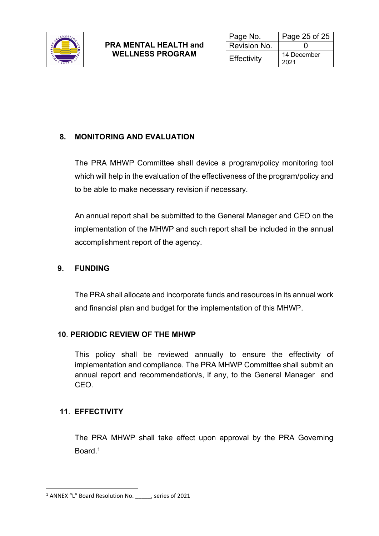

# **8. MONITORING AND EVALUATION**

The PRA MHWP Committee shall device a program/policy monitoring tool which will help in the evaluation of the effectiveness of the program/policy and to be able to make necessary revision if necessary.

An annual report shall be submitted to the General Manager and CEO on the implementation of the MHWP and such report shall be included in the annual accomplishment report of the agency.

## **9. FUNDING**

The PRA shall allocate and incorporate funds and resources in its annual work and financial plan and budget for the implementation of this MHWP.

#### **10**. **PERIODIC REVIEW OF THE MHWP**

This policy shall be reviewed annually to ensure the effectivity of implementation and compliance. The PRA MHWP Committee shall submit an annual report and recommendation/s, if any, to the General Manager and CEO.

## **11**. **EFFECTIVITY**

The PRA MHWP shall take effect upon approval by the PRA Governing Board<sup>1</sup>

<sup>1</sup> ANNEX "L" Board Resolution No. \_\_\_\_\_, series of 2021